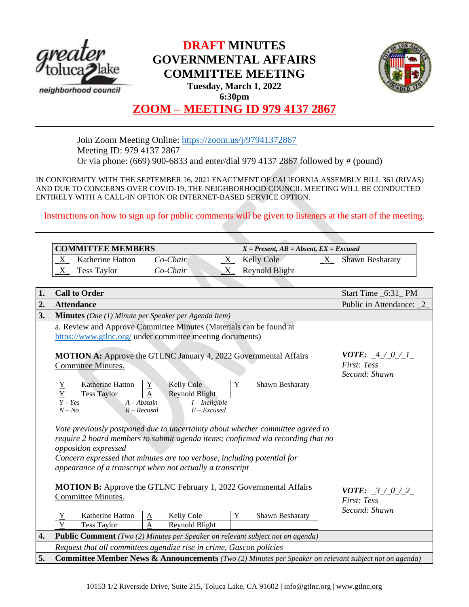

# **DRAFT MINUTES GOVERNMENTAL AFFAIRS COMMITTEE MEETING Tuesday, March 1, 2022 6:30pm**



# **ZOOM – MEETING ID 979 4137 2867**

Join Zoom Meeting Online:<https://zoom.us/j/97941372867> Meeting ID: 979 4137 2867 Or via phone: (669) 900-6833 and enter/dial 979 4137 2867 followed by # (pound)

IN CONFORMITY WITH THE SEPTEMBER 16, 2021 ENACTMENT OF CALIFORNIA ASSEMBLY BILL 361 (RIVAS) AND DUE TO CONCERNS OVER COVID-19, THE NEIGHBORHOOD COUNCIL MEETING WILL BE CONDUCTED ENTIRELY WITH A CALL-IN OPTION OR INTERNET-BASED SERVICE OPTION.

Instructions on how to sign up for public comments will be given to listeners at the start of the meeting.

|                  |                                                                                                                                                                                                                                                                                                                                                                                                                                                                                                                                     | <b>COMMITTEE MEMBERS</b>                                                                                                        |                                                      | $X = Present, AB = Absent, EX = Excused$ |                                                                                       |             |                                     |  |
|------------------|-------------------------------------------------------------------------------------------------------------------------------------------------------------------------------------------------------------------------------------------------------------------------------------------------------------------------------------------------------------------------------------------------------------------------------------------------------------------------------------------------------------------------------------|---------------------------------------------------------------------------------------------------------------------------------|------------------------------------------------------|------------------------------------------|---------------------------------------------------------------------------------------|-------------|-------------------------------------|--|
|                  | $X_{-}$                                                                                                                                                                                                                                                                                                                                                                                                                                                                                                                             | Katherine Hatton                                                                                                                | Co-Chair                                             | $X_{-}$                                  | Kelly Cole                                                                            | $\mathbf X$ | <b>Shawn Besharaty</b>              |  |
|                  | Χ                                                                                                                                                                                                                                                                                                                                                                                                                                                                                                                                   | <b>Tess Taylor</b>                                                                                                              | Co-Chair                                             | $X_{-}$                                  | <b>Reynold Blight</b>                                                                 |             |                                     |  |
|                  |                                                                                                                                                                                                                                                                                                                                                                                                                                                                                                                                     |                                                                                                                                 |                                                      |                                          |                                                                                       |             |                                     |  |
| 1.               |                                                                                                                                                                                                                                                                                                                                                                                                                                                                                                                                     | <b>Call to Order</b>                                                                                                            |                                                      |                                          |                                                                                       |             | Start Time _6:31_PM                 |  |
| 2.               |                                                                                                                                                                                                                                                                                                                                                                                                                                                                                                                                     | <b>Attendance</b>                                                                                                               |                                                      |                                          |                                                                                       |             | Public in Attendance: 2             |  |
| 3.               |                                                                                                                                                                                                                                                                                                                                                                                                                                                                                                                                     | <b>Minutes</b> (One (1) Minute per Speaker per Agenda Item)                                                                     |                                                      |                                          |                                                                                       |             |                                     |  |
|                  |                                                                                                                                                                                                                                                                                                                                                                                                                                                                                                                                     | a. Review and Approve Committee Minutes (Materials can be found at<br>https://www.gtlnc.org/ under committee meeting documents) |                                                      |                                          |                                                                                       |             |                                     |  |
|                  |                                                                                                                                                                                                                                                                                                                                                                                                                                                                                                                                     | <b>MOTION A:</b> Approve the GTLNC January 4, 2022 Governmental Affairs<br>Committee Minutes.                                   | <b>VOTE:</b> $4/0/1$<br>First: Tess<br>Second: Shawn |                                          |                                                                                       |             |                                     |  |
|                  |                                                                                                                                                                                                                                                                                                                                                                                                                                                                                                                                     | Katherine Hatton                                                                                                                | <b>Kelly Cole</b><br>Y                               |                                          | Y<br>Shawn Besharaty                                                                  |             |                                     |  |
|                  |                                                                                                                                                                                                                                                                                                                                                                                                                                                                                                                                     | <b>Tess Taylor</b>                                                                                                              | Reynold Blight                                       |                                          |                                                                                       |             |                                     |  |
|                  | $Y - Yes$<br>$A - Abstain$<br>$I$ – Ineligible<br>$N - No$<br>$R - Recusal$<br>$E - Excused$<br>Vote previously postponed due to uncertainty about whether committee agreed to<br>require 2 board members to submit agenda items; confirmed via recording that no<br>opposition expressed<br>Concern expressed that minutes are too verbose, including potential for<br>appearance of a transcript when not actually a transcript<br><b>MOTION B:</b> Approve the GTLNC February 1, 2022 Governmental Affairs<br>Committee Minutes. |                                                                                                                                 |                                                      |                                          |                                                                                       |             |                                     |  |
|                  |                                                                                                                                                                                                                                                                                                                                                                                                                                                                                                                                     |                                                                                                                                 |                                                      |                                          |                                                                                       |             |                                     |  |
|                  |                                                                                                                                                                                                                                                                                                                                                                                                                                                                                                                                     |                                                                                                                                 |                                                      |                                          |                                                                                       |             | <b>VOTE:</b> $3/0/2$<br>First: Tess |  |
|                  |                                                                                                                                                                                                                                                                                                                                                                                                                                                                                                                                     | Katherine Hatton                                                                                                                | Kelly Cole<br>Α                                      |                                          | Y<br>Shawn Besharaty                                                                  |             | Second: Shawn                       |  |
|                  |                                                                                                                                                                                                                                                                                                                                                                                                                                                                                                                                     | <b>Tess Taylor</b>                                                                                                              | Reynold Blight<br>$\mathbf{A}$                       |                                          |                                                                                       |             |                                     |  |
| $\overline{4}$ . |                                                                                                                                                                                                                                                                                                                                                                                                                                                                                                                                     |                                                                                                                                 |                                                      |                                          | <b>Public Comment</b> (Two (2) Minutes per Speaker on relevant subject not on agenda) |             |                                     |  |
|                  |                                                                                                                                                                                                                                                                                                                                                                                                                                                                                                                                     | Request that all committees agendize rise in crime, Gascon policies                                                             |                                                      |                                          |                                                                                       |             |                                     |  |
| 5.               | <b>Committee Member News &amp; Announcements</b> (Two (2) Minutes per Speaker on relevant subject not on agenda)                                                                                                                                                                                                                                                                                                                                                                                                                    |                                                                                                                                 |                                                      |                                          |                                                                                       |             |                                     |  |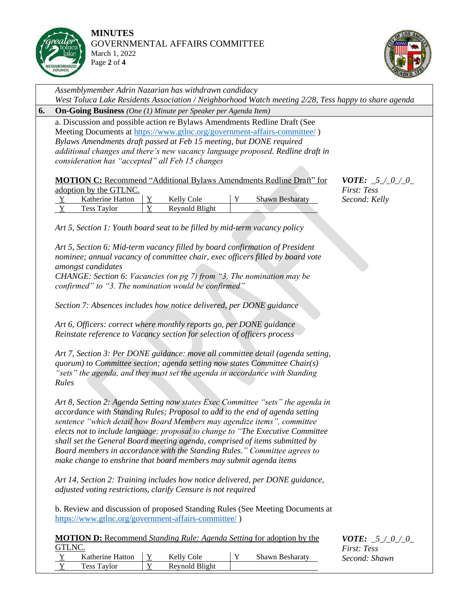

Y Tess Taylor Y Reynold Blight



*Assemblymember Adrin Nazarian has withdrawn candidacy West Toluca Lake Residents Association / Neighborhood Watch meeting 2/28, Tess happy to share agenda* **6. On-Going Business** *(One (1) Minute per Speaker per Agenda Item)* a. Discussion and possible action re Bylaws Amendments Redline Draft (See Meeting Documents at<https://www.gtlnc.org/government-affairs-committee/> ) *Bylaws Amendments draft passed at Feb 15 meeting, but DONE required additional changes and there's new vacancy language proposed. Redline draft in consideration has "accepted" all Feb 15 changes* **MOTION C:** Recommend "Additional Bylaws Amendments Redline Draft" for adoption by the GTLNC. Y Katherine Hatton | Y Kelly Cole | Y Shawn Besharaty Y Tess Taylor Y Reynold Blight *Art 5, Section 1: Youth board seat to be filled by mid-term vacancy policy Art 5, Section 6: Mid-term vacancy filled by board confirmation of President nominee; annual vacancy of committee chair, exec officers filled by board vote amongst candidates CHANGE: Section 6: Vacancies (on pg 7) from "3. The nomination may be confirmed" to "3. The nomination would be confirmed" Section 7: Absences includes how notice delivered, per DONE guidance Art 6, Officers: correct where monthly reports go, per DONE guidance Reinstate reference to Vacancy section for selection of officers process Art 7, Section 3: Per DONE guidance: move all committee detail (agenda setting, quorum) to Committee section; agenda setting now states Committee Chair(s) "sets" the agenda, and they must set the agenda in accordance with Standing Rules Art 8, Section 2: Agenda Setting now states Exec Committee "sets" the agenda in accordance with Standing Rules; Proposal to add to the end of agenda setting sentence "which detail how Board Members may agendize items", committee elects not to include language; proposal to change to "The Executive Committee shall set the General Board meeting agenda, comprised of items submitted by Board members in accordance with the Standing Rules." Committee agrees to make change to enshrine that board members may submit agenda items Art 14, Section 2: Training includes how notice delivered, per DONE guidance, adjusted voting restrictions, clarify Censure is not required* b. Review and discussion of proposed Standing Rules (See Meeting Documents at <https://www.gtlnc.org/government-affairs-committee/> ) **MOTION D:** Recommend *Standing Rule: Agenda Setting* for adoption by the GTLNC. Katherine Hatton  $\begin{array}{|c|c|c|c|c|c|} \hline Y & \hline Y & \hline Y & \hline \end{array}$  Shawn Besharaty *VOTE: \_5\_/\_0\_/\_0\_ First: Tess Second: Kelly VOTE: \_5\_/\_0\_/\_0\_ First: Tess Second: Shawn*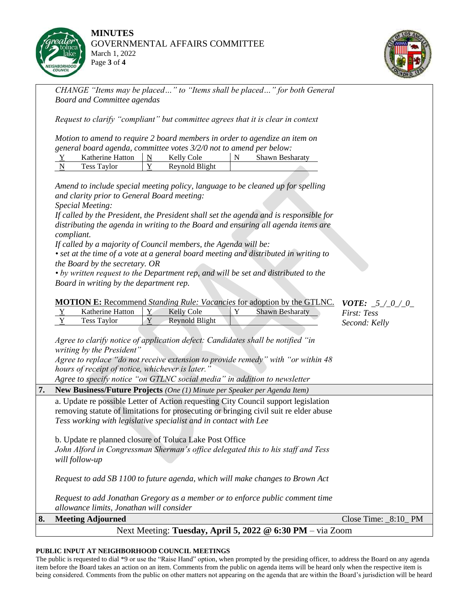

**MINUTES** GOVERNMENTAL AFFAIRS COMMITTEE March 1, 2022 Page **3** of **4**



*CHANGE "Items may be placed…" to "Items shall be placed…" for both General Board and Committee agendas*

*Request to clarify "compliant" but committee agrees that it is clear in context*

*Motion to amend to require 2 board members in order to agendize an item on general board agenda, committee votes 3/2/0 not to amend per below:*

| Katherine Hatton   | $\cap$ de<br><b>Kelly</b> | Shawn Besharaty |
|--------------------|---------------------------|-----------------|
| <b>Tess Taylor</b> | Revnold Blight            |                 |

*Amend to include special meeting policy, language to be cleaned up for spelling and clarity prior to General Board meeting:* 

*Special Meeting:*

*If called by the President, the President shall set the agenda and is responsible for distributing the agenda in writing to the Board and ensuring all agenda items are compliant.*

*If called by a majority of Council members, the Agenda will be:*

*• set at the time of a vote at a general board meeting and distributed in writing to the Board by the secretary. OR*

*• by written request to the Department rep, and will be set and distributed to the Board in writing by the department rep.*

|    | <b>MOTION E:</b> Recommend <i>Standing Rule: Vacancies</i> for adoption by the GTLNC.<br><b>VOTE:</b> $5/0/0$                                                               |                                          |   |                   |   |                                                                               |                        |  |  |  |
|----|-----------------------------------------------------------------------------------------------------------------------------------------------------------------------------|------------------------------------------|---|-------------------|---|-------------------------------------------------------------------------------|------------------------|--|--|--|
|    | $\mathbf Y$                                                                                                                                                                 | Katherine Hatton                         | Y | <b>Kelly Cole</b> | Y | <b>Shawn Besharaty</b>                                                        | First: Tess            |  |  |  |
|    | Y                                                                                                                                                                           | <b>Tess Taylor</b>                       | Y | Reynold Blight    |   |                                                                               | Second: Kelly          |  |  |  |
|    |                                                                                                                                                                             |                                          |   |                   |   |                                                                               |                        |  |  |  |
|    | Agree to clarify notice of application defect: Candidates shall be notified "in                                                                                             |                                          |   |                   |   |                                                                               |                        |  |  |  |
|    | writing by the President"                                                                                                                                                   |                                          |   |                   |   |                                                                               |                        |  |  |  |
|    | Agree to replace "do not receive extension to provide remedy" with "or within 48                                                                                            |                                          |   |                   |   |                                                                               |                        |  |  |  |
|    | hours of receipt of notice, whichever is later."                                                                                                                            |                                          |   |                   |   |                                                                               |                        |  |  |  |
|    | Agree to specify notice "on GTLNC social media" in addition to newsletter                                                                                                   |                                          |   |                   |   |                                                                               |                        |  |  |  |
| 7. | <b>New Business/Future Projects</b> (One (1) Minute per Speaker per Agenda Item)                                                                                            |                                          |   |                   |   |                                                                               |                        |  |  |  |
|    | a. Update re possible Letter of Action requesting City Council support legislation<br>removing statute of limitations for prosecuting or bringing civil suit re elder abuse |                                          |   |                   |   |                                                                               |                        |  |  |  |
|    | Tess working with legislative specialist and in contact with Lee                                                                                                            |                                          |   |                   |   |                                                                               |                        |  |  |  |
|    | b. Update re planned closure of Toluca Lake Post Office                                                                                                                     |                                          |   |                   |   |                                                                               |                        |  |  |  |
|    | John Alford in Congressman Sherman's office delegated this to his staff and Tess                                                                                            |                                          |   |                   |   |                                                                               |                        |  |  |  |
|    | will follow-up                                                                                                                                                              |                                          |   |                   |   |                                                                               |                        |  |  |  |
|    | Request to add SB 1100 to future agenda, which will make changes to Brown Act                                                                                               |                                          |   |                   |   |                                                                               |                        |  |  |  |
|    |                                                                                                                                                                             |                                          |   |                   |   | Request to add Jonathan Gregory as a member or to enforce public comment time |                        |  |  |  |
|    |                                                                                                                                                                             | allowance limits, Jonathan will consider |   |                   |   |                                                                               |                        |  |  |  |
| 8. |                                                                                                                                                                             | <b>Meeting Adjourned</b>                 |   |                   |   |                                                                               | Close Time: $_8:10$ PM |  |  |  |
|    | Next Meeting: Tuesday, April 5, 2022 @ 6:30 PM – via Zoom                                                                                                                   |                                          |   |                   |   |                                                                               |                        |  |  |  |

### **PUBLIC INPUT AT NEIGHBORHOOD COUNCIL MEETINGS**

The public is requested to dial \*9 or use the "Raise Hand" option, when prompted by the presiding officer, to address the Board on any agenda item before the Board takes an action on an item. Comments from the public on agenda items will be heard only when the respective item is being considered. Comments from the public on other matters not appearing on the agenda that are within the Board's jurisdiction will be heard